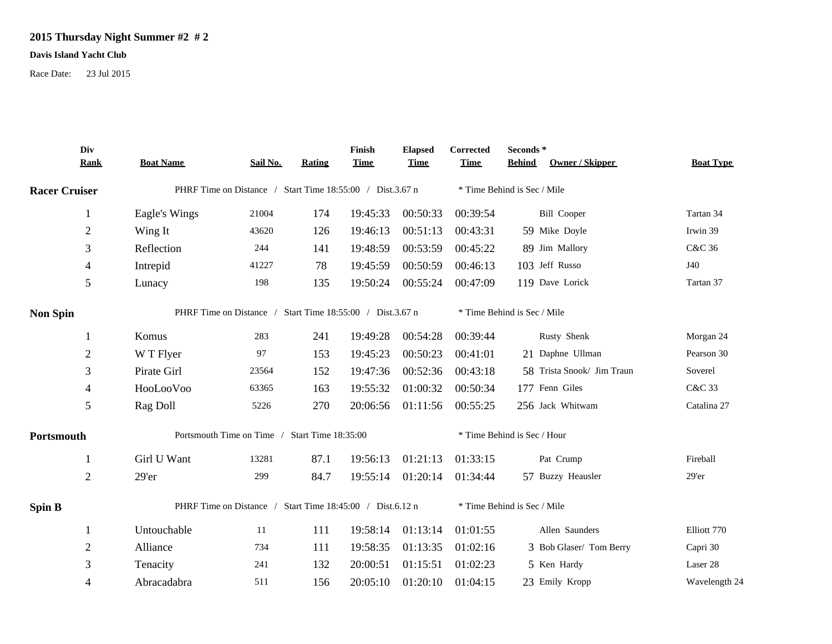## **2015 Thursday Night Summer #2 # 2**

## **Davis Island Yacht Club**

Race Date: 23 Jul 2015

|                      | Div<br><b>Rank</b> | <b>Boat Name</b>                                          | Sail No. | <b>Rating</b> | Finish<br><b>Time</b> | <b>Elapsed</b><br><b>Time</b> | Corrected<br><b>Time</b>    | Seconds*<br>Owner / Skipper<br><b>Behind</b> | <b>Boat Type</b> |  |
|----------------------|--------------------|-----------------------------------------------------------|----------|---------------|-----------------------|-------------------------------|-----------------------------|----------------------------------------------|------------------|--|
| <b>Racer Cruiser</b> |                    | PHRF Time on Distance / Start Time 18:55:00 / Dist.3.67 n |          |               |                       |                               | * Time Behind is Sec / Mile |                                              |                  |  |
|                      | 1                  | Eagle's Wings                                             | 21004    | 174           | 19:45:33              | 00:50:33                      | 00:39:54                    | <b>Bill Cooper</b>                           | Tartan 34        |  |
|                      | $\mathbf{2}$       | Wing It                                                   | 43620    | 126           | 19:46:13              | 00:51:13                      | 00:43:31                    | 59 Mike Doyle                                | Irwin 39         |  |
|                      | 3                  | Reflection                                                | 244      | 141           | 19:48:59              | 00:53:59                      | 00:45:22                    | 89 Jim Mallory                               | C&C 36           |  |
|                      | 4                  | Intrepid                                                  | 41227    | 78            | 19:45:59              | 00:50:59                      | 00:46:13                    | 103 Jeff Russo                               | J40              |  |
|                      | 5                  | Lunacy                                                    | 198      | 135           | 19:50:24              | 00:55:24                      | 00:47:09                    | 119 Dave Lorick                              | Tartan 37        |  |
| <b>Non Spin</b>      |                    | PHRF Time on Distance / Start Time 18:55:00 / Dist.3.67 n |          |               |                       |                               | * Time Behind is Sec / Mile |                                              |                  |  |
|                      | 1                  | Komus                                                     | 283      | 241           | 19:49:28              | 00:54:28                      | 00:39:44                    | Rusty Shenk                                  | Morgan 24        |  |
|                      | $\sqrt{2}$         | W T Flyer                                                 | 97       | 153           | 19:45:23              | 00:50:23                      | 00:41:01                    | 21 Daphne Ullman                             | Pearson 30       |  |
|                      | 3                  | Pirate Girl                                               | 23564    | 152           | 19:47:36              | 00:52:36                      | 00:43:18                    | 58 Trista Snook/ Jim Traun                   | Soverel          |  |
|                      | 4                  | HooLooVoo                                                 | 63365    | 163           | 19:55:32              | 01:00:32                      | 00:50:34                    | 177 Fenn Giles                               | C&C 33           |  |
|                      | $\sqrt{5}$         | Rag Doll                                                  | 5226     | 270           | 20:06:56              | 01:11:56                      | 00:55:25                    | 256 Jack Whitwam                             | Catalina 27      |  |
| Portsmouth           |                    | Portsmouth Time on Time / Start Time 18:35:00             |          |               |                       |                               | * Time Behind is Sec / Hour |                                              |                  |  |
|                      | 1                  | Girl U Want                                               | 13281    | 87.1          | 19:56:13              | 01:21:13                      | 01:33:15                    | Pat Crump                                    | Fireball         |  |
|                      | $\overline{2}$     | 29'er                                                     | 299      | 84.7          | 19:55:14              | 01:20:14                      | 01:34:44                    | 57 Buzzy Heausler                            | 29'er            |  |
| <b>Spin B</b>        |                    | PHRF Time on Distance / Start Time 18:45:00 / Dist.6.12 n |          |               |                       |                               | * Time Behind is Sec / Mile |                                              |                  |  |
|                      | 1                  | Untouchable                                               | 11       | 111           | 19:58:14              | 01:13:14                      | 01:01:55                    | Allen Saunders                               | Elliott 770      |  |
|                      | $\sqrt{2}$         | Alliance                                                  | 734      | 111           | 19:58:35              | 01:13:35                      | 01:02:16                    | 3 Bob Glaser/ Tom Berry                      | Capri 30         |  |
|                      | 3                  | Tenacity                                                  | 241      | 132           | 20:00:51              | 01:15:51                      | 01:02:23                    | 5 Ken Hardy                                  | Laser 28         |  |
|                      | 4                  | Abracadabra                                               | 511      | 156           | 20:05:10              | 01:20:10                      | 01:04:15                    | 23 Emily Kropp                               | Wavelength 24    |  |